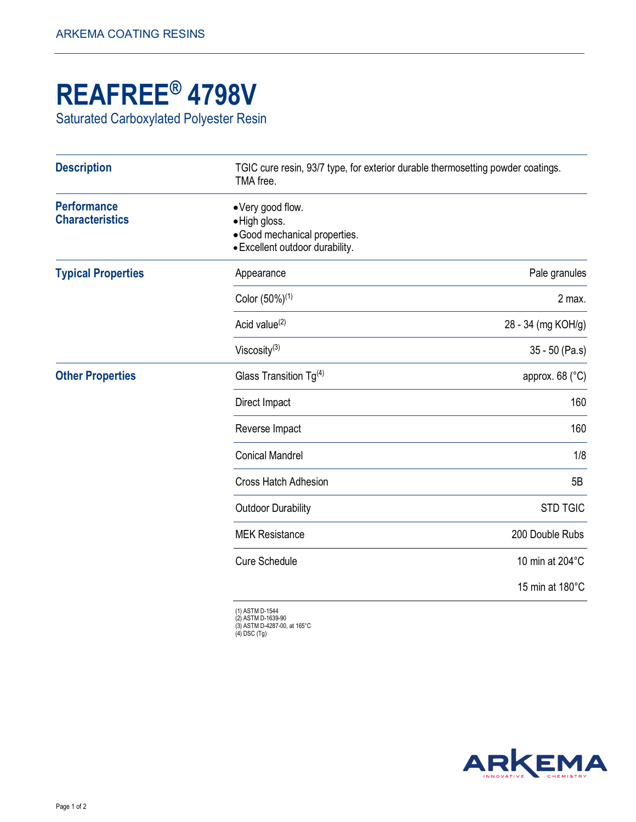## **REAFREE® 4798V**

Saturated Carboxylated Polyester Resin

| TGIC cure resin, 93/7 type, for exterior durable thermosetting powder coatings.<br>TMA free.<br>• Very good flow.<br>·High gloss.<br>· Good mechanical properties.<br>· Excellent outdoor durability. |                              |
|-------------------------------------------------------------------------------------------------------------------------------------------------------------------------------------------------------|------------------------------|
|                                                                                                                                                                                                       |                              |
| Color (50%) <sup>(1)</sup>                                                                                                                                                                            | 2 max.                       |
| Acid value <sup>(2)</sup>                                                                                                                                                                             | 28 - 34 (mg KOH/g)           |
| Viscosity $(3)$                                                                                                                                                                                       | 35 - 50 (Pa.s)               |
| Glass Transition $Tg^{(4)}$                                                                                                                                                                           | approx. $68$ ( $^{\circ}$ C) |
| Direct Impact                                                                                                                                                                                         | 160                          |
| Reverse Impact                                                                                                                                                                                        | 160                          |
| <b>Conical Mandrel</b>                                                                                                                                                                                | 1/8                          |
| <b>Cross Hatch Adhesion</b>                                                                                                                                                                           | 5B                           |
| <b>Outdoor Durability</b>                                                                                                                                                                             | <b>STD TGIC</b>              |
| <b>MEK Resistance</b>                                                                                                                                                                                 | 200 Double Rubs              |
| <b>Cure Schedule</b>                                                                                                                                                                                  | 10 min at 204°C              |
|                                                                                                                                                                                                       | 15 min at 180°C              |
|                                                                                                                                                                                                       |                              |

(1) ASTM D-1544 (2) ASTM D-1639-90 (3) ASTM D-4287-00, at 165°C (4) DSC (Tg)